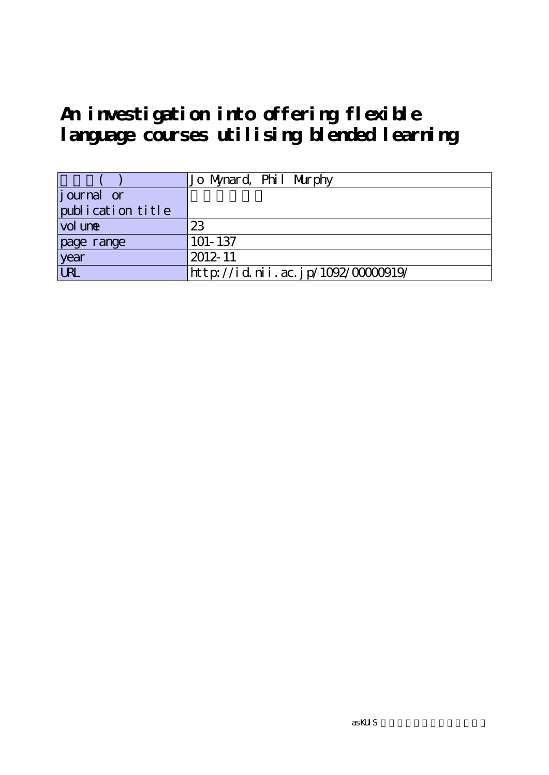# **An investigation into offering flexible language courses utilising blended learning**

|                   | Jo Mynard, Phil Murphy             |
|-------------------|------------------------------------|
| $j$ ournal or     |                                    |
| publication title |                                    |
| $vol$ une         | 23                                 |
| page range        | $101 - 137$                        |
| year              | 2012-11                            |
| URL               | http://id.nii.ac.jp/1092/00000919/ |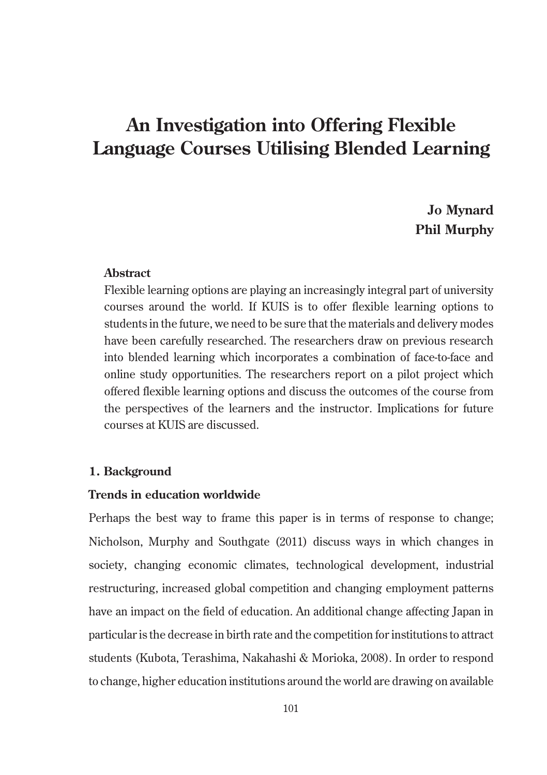# **An Investigation into Offering Flexible Language Courses Utilising Blended Learning**

**Jo Mynard Phil Murphy**

### **Abstract**

Flexible learning options are playing an increasingly integral part of university courses around the world. If KUIS is to offer flexible learning options to students in the future, we need to be sure that the materials and delivery modes have been carefully researched. The researchers draw on previous research into blended learning which incorporates a combination of face-to-face and online study opportunities. The researchers report on a pilot project which offered flexible learning options and discuss the outcomes of the course from the perspectives of the learners and the instructor. Implications for future courses at KUIS are discussed.

### **1. Background**

### **Trends in education worldwide**

Perhaps the best way to frame this paper is in terms of response to change; Nicholson, Murphy and Southgate (2011) discuss ways in which changes in society, changing economic climates, technological development, industrial restructuring, increased global competition and changing employment patterns have an impact on the field of education. An additional change affecting Japan in particular is the decrease in birth rate and the competition for institutions to attract students (Kubota, Terashima, Nakahashi & Morioka, 2008). In order to respond to change, higher education institutions around the world are drawing on available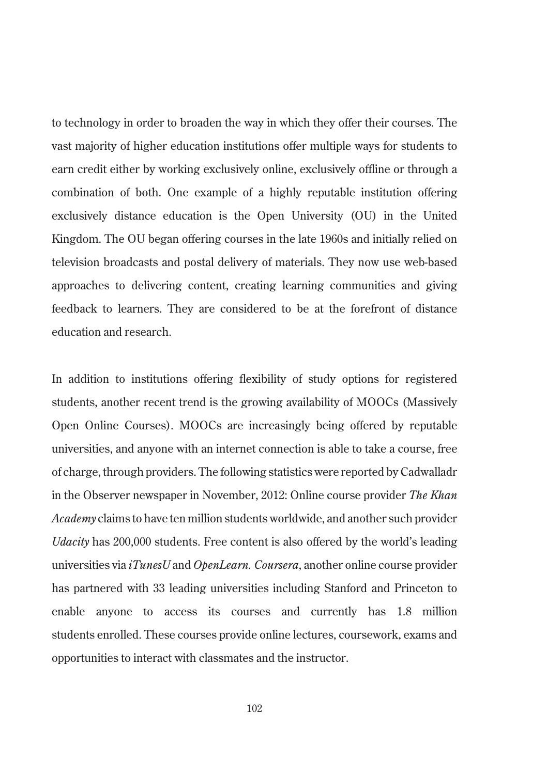to technology in order to broaden the way in which they offer their courses. The vast majority of higher education institutions offer multiple ways for students to earn credit either by working exclusively online, exclusively offline or through a combination of both. One example of a highly reputable institution offering exclusively distance education is the Open University (OU) in the United Kingdom. The OU began offering courses in the late 1960s and initially relied on television broadcasts and postal delivery of materials. They now use web-based approaches to delivering content, creating learning communities and giving feedback to learners. They are considered to be at the forefront of distance education and research.

In addition to institutions offering flexibility of study options for registered students, another recent trend is the growing availability of MOOCs (Massively Open Online Courses). MOOCs are increasingly being offered by reputable universities, and anyone with an internet connection is able to take a course, free of charge, through providers. The following statistics were reported by Cadwalladr in the Observer newspaper in November, 2012: Online course provider *The Khan Academy* claims to have ten million students worldwide, and another such provider *Udacity* has 200,000 students. Free content is also offered by the world's leading universities via *iTunesU* and *OpenLearn. Coursera*, another online course provider has partnered with 33 leading universities including Stanford and Princeton to enable anyone to access its courses and currently has 1.8 million students enrolled. These courses provide online lectures, coursework, exams and opportunities to interact with classmates and the instructor.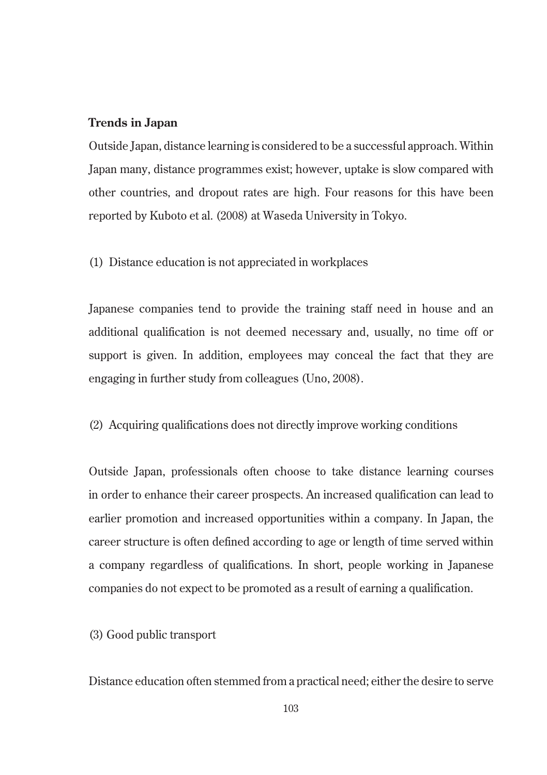### **Trends in Japan**

Outside Japan, distance learning is considered to be a successful approach. Within Japan many, distance programmes exist; however, uptake is slow compared with other countries, and dropout rates are high. Four reasons for this have been reported by Kuboto et al. (2008) at Waseda University in Tokyo.

(1) Distance education is not appreciated in workplaces

Japanese companies tend to provide the training staff need in house and an additional qualification is not deemed necessary and, usually, no time off or support is given. In addition, employees may conceal the fact that they are engaging in further study from colleagues (Uno, 2008).

(2) Acquiring qualifications does not directly improve working conditions

Outside Japan, professionals often choose to take distance learning courses in order to enhance their career prospects. An increased qualification can lead to earlier promotion and increased opportunities within a company. In Japan, the career structure is often defined according to age or length of time served within a company regardless of qualifications. In short, people working in Japanese companies do not expect to be promoted as a result of earning a qualification.

(3) Good public transport

Distance education often stemmed from a practical need; either the desire to serve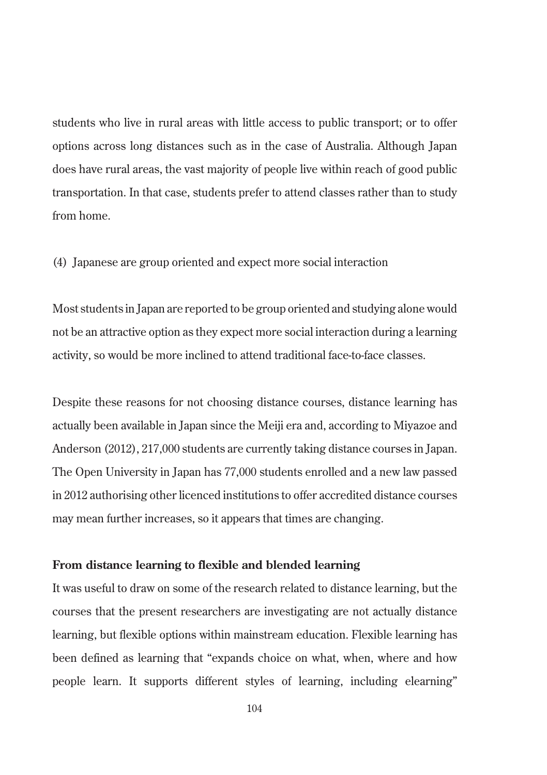students who live in rural areas with little access to public transport; or to offer options across long distances such as in the case of Australia. Although Japan does have rural areas, the vast majority of people live within reach of good public transportation. In that case, students prefer to attend classes rather than to study from home.

(4) Japanese are group oriented and expect more social interaction

Most students in Japan are reported to be group oriented and studying alone would not be an attractive option as they expect more social interaction during a learning activity, so would be more inclined to attend traditional face-to-face classes.

Despite these reasons for not choosing distance courses, distance learning has actually been available in Japan since the Meiji era and, according to Miyazoe and Anderson (2012), 217,000 students are currently taking distance courses in Japan. The Open University in Japan has 77,000 students enrolled and a new law passed in 2012 authorising other licenced institutions to offer accredited distance courses may mean further increases, so it appears that times are changing.

### **From distance learning to flexible and blended learning**

It was useful to draw on some of the research related to distance learning, but the courses that the present researchers are investigating are not actually distance learning, but flexible options within mainstream education. Flexible learning has been defined as learning that "expands choice on what, when, where and how people learn. It supports different styles of learning, including elearning"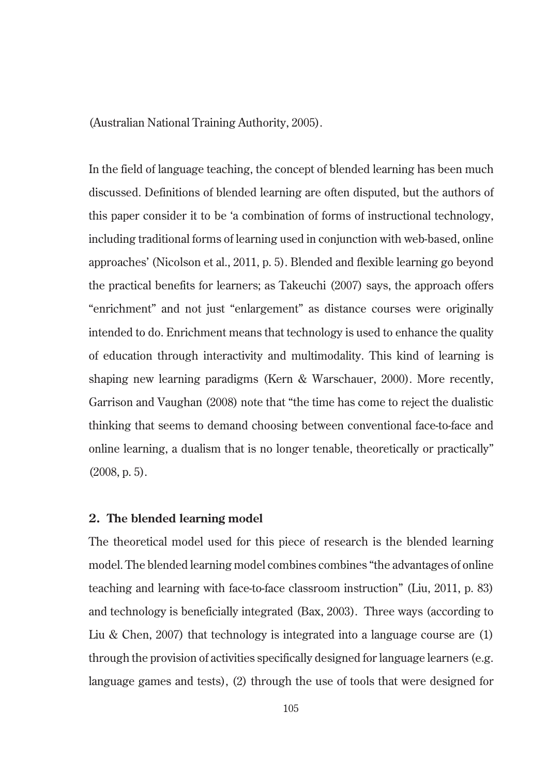(Australian National Training Authority, 2005).

In the field of language teaching, the concept of blended learning has been much discussed. Definitions of blended learning are often disputed, but the authors of this paper consider it to be 'a combination of forms of instructional technology, including traditional forms of learning used in conjunction with web-based, online approaches' (Nicolson et al., 2011, p. 5). Blended and flexible learning go beyond the practical benefits for learners; as Takeuchi (2007) says, the approach offers "enrichment" and not just "enlargement" as distance courses were originally intended to do. Enrichment means that technology is used to enhance the quality of education through interactivity and multimodality. This kind of learning is shaping new learning paradigms (Kern & Warschauer, 2000). More recently, Garrison and Vaughan (2008) note that "the time has come to reject the dualistic thinking that seems to demand choosing between conventional face-to-face and online learning, a dualism that is no longer tenable, theoretically or practically" (2008, p. 5).

### **2. The blended learning model**

The theoretical model used for this piece of research is the blended learning model. The blended learning model combines combines "the advantages of online teaching and learning with face-to-face classroom instruction" (Liu, 2011, p. 83) and technology is beneficially integrated (Bax, 2003). Three ways (according to Liu & Chen, 2007) that technology is integrated into a language course are  $(1)$ through the provision of activities specifically designed for language learners (e.g. language games and tests), (2) through the use of tools that were designed for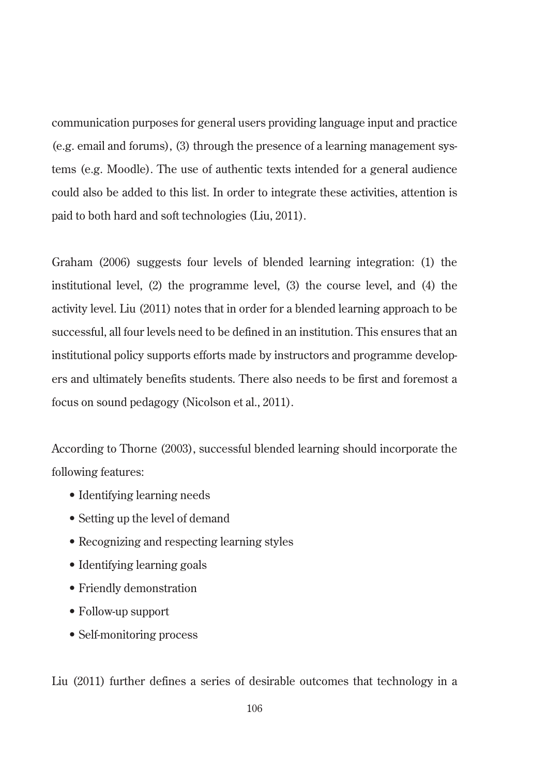communication purposes for general users providing language input and practice (e.g. email and forums), (3) through the presence of a learning management systems (e.g. Moodle). The use of authentic texts intended for a general audience could also be added to this list. In order to integrate these activities, attention is paid to both hard and soft technologies (Liu, 2011).

Graham (2006) suggests four levels of blended learning integration: (1) the institutional level, (2) the programme level, (3) the course level, and (4) the activity level. Liu (2011) notes that in order for a blended learning approach to be successful, all four levels need to be defined in an institution. This ensures that an institutional policy supports efforts made by instructors and programme developers and ultimately benefits students. There also needs to be first and foremost a focus on sound pedagogy (Nicolson et al., 2011).

According to Thorne (2003), successful blended learning should incorporate the following features:

- Identifying learning needs
- Setting up the level of demand
- Recognizing and respecting learning styles
- Identifying learning goals
- Friendly demonstration
- Follow-up support
- Self-monitoring process

Liu (2011) further defines a series of desirable outcomes that technology in a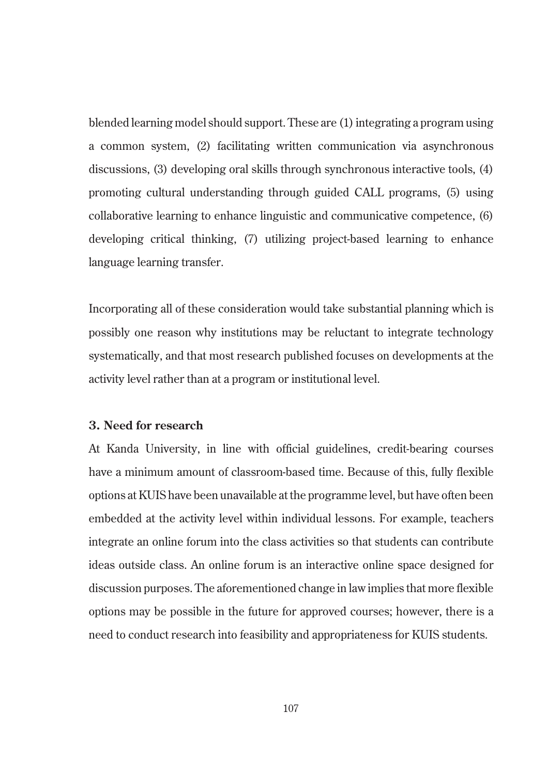blended learning model should support. These are (1) integrating a program using a common system, (2) facilitating written communication via asynchronous discussions, (3) developing oral skills through synchronous interactive tools, (4) promoting cultural understanding through guided CALL programs, (5) using collaborative learning to enhance linguistic and communicative competence, (6) developing critical thinking, (7) utilizing project-based learning to enhance language learning transfer.

Incorporating all of these consideration would take substantial planning which is possibly one reason why institutions may be reluctant to integrate technology systematically, and that most research published focuses on developments at the activity level rather than at a program or institutional level.

### **3. Need for research**

At Kanda University, in line with official guidelines, credit-bearing courses have a minimum amount of classroom-based time. Because of this, fully flexible options at KUIS have been unavailable at the programme level, but have often been embedded at the activity level within individual lessons. For example, teachers integrate an online forum into the class activities so that students can contribute ideas outside class. An online forum is an interactive online space designed for discussion purposes. The aforementioned change in law implies that more flexible options may be possible in the future for approved courses; however, there is a need to conduct research into feasibility and appropriateness for KUIS students.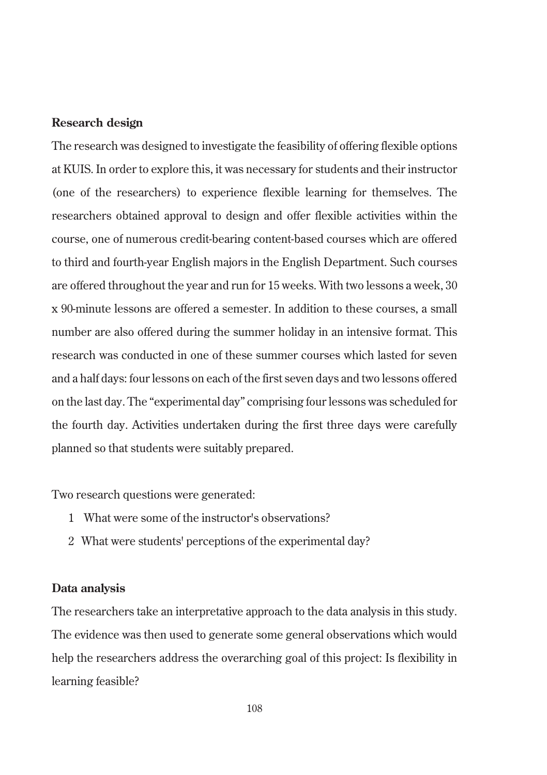### **Research design**

The research was designed to investigate the feasibility of offering flexible options at KUIS. In order to explore this, it was necessary for students and their instructor (one of the researchers) to experience flexible learning for themselves. The researchers obtained approval to design and offer flexible activities within the course, one of numerous credit-bearing content-based courses which are offered to third and fourth-year English majors in the English Department. Such courses are offered throughout the year and run for 15 weeks. With two lessons a week, 30 x 90-minute lessons are offered a semester. In addition to these courses, a small number are also offered during the summer holiday in an intensive format. This research was conducted in one of these summer courses which lasted for seven and a half days: four lessons on each of the first seven days and two lessons offered on the last day. The "experimental day" comprising four lessons was scheduled for the fourth day. Activities undertaken during the first three days were carefully planned so that students were suitably prepared.

Two research questions were generated:

- 1 What were some of the instructor's observations?
- 2 What were students' perceptions of the experimental day?

### **Data analysis**

The researchers take an interpretative approach to the data analysis in this study. The evidence was then used to generate some general observations which would help the researchers address the overarching goal of this project: Is flexibility in learning feasible?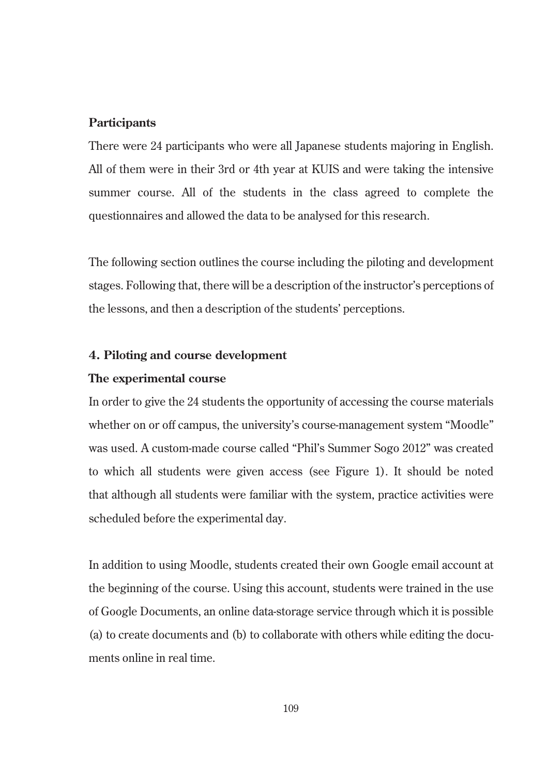### **Participants**

There were 24 participants who were all Japanese students majoring in English. All of them were in their 3rd or 4th year at KUIS and were taking the intensive summer course. All of the students in the class agreed to complete the questionnaires and allowed the data to be analysed for this research.

The following section outlines the course including the piloting and development stages. Following that, there will be a description of the instructor's perceptions of the lessons, and then a description of the students' perceptions.

### **4. Piloting and course development**

### **The experimental course**

In order to give the 24 students the opportunity of accessing the course materials whether on or off campus, the university's course-management system "Moodle" was used. A custom-made course called "Phil's Summer Sogo 2012" was created to which all students were given access (see Figure 1). It should be noted that although all students were familiar with the system, practice activities were scheduled before the experimental day.

In addition to using Moodle, students created their own Google email account at the beginning of the course. Using this account, students were trained in the use of Google Documents, an online data-storage service through which it is possible (a) to create documents and (b) to collaborate with others while editing the documents online in real time.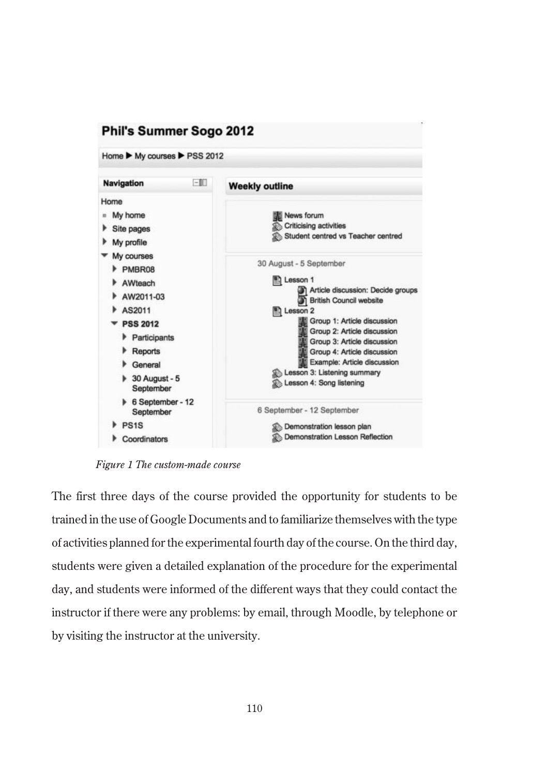

*Figure 1 The custom-made course*

The first three days of the course provided the opportunity for students to be trained in the use of Google Documents and to familiarize themselves with the type of activities planned for the experimental fourth day of the course. On the third day, students were given a detailed explanation of the procedure for the experimental day, and students were informed of the different ways that they could contact the instructor if there were any problems: by email, through Moodle, by telephone or by visiting the instructor at the university.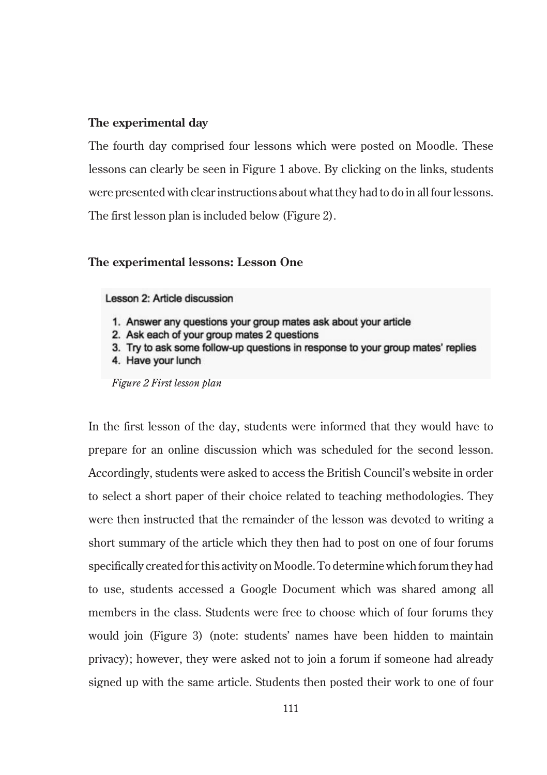### **The experimental day**

The fourth day comprised four lessons which were posted on Moodle. These lessons can clearly be seen in Figure 1 above. By clicking on the links, students were presented with clear instructions about what they had to do in all four lessons. The first lesson plan is included below (Figure 2).

### **The experimental lessons: Lesson One**

### Lesson 2: Article discussion

- 1. Answer any questions your group mates ask about your article
- 2. Ask each of your group mates 2 questions
- 3. Try to ask some follow-up questions in response to your group mates' replies
- 4. Have your lunch

*Figure 2 First lesson plan* 

In the first lesson of the day, students were informed that they would have to prepare for an online discussion which was scheduled for the second lesson. Accordingly, students were asked to access the British Council's website in order to select a short paper of their choice related to teaching methodologies. They were then instructed that the remainder of the lesson was devoted to writing a short summary of the article which they then had to post on one of four forums specifically created for this activity on Moodle. To determine which forum they had to use, students accessed a Google Document which was shared among all members in the class. Students were free to choose which of four forums they would join (Figure 3) (note: students' names have been hidden to maintain privacy); however, they were asked not to join a forum if someone had already signed up with the same article. Students then posted their work to one of four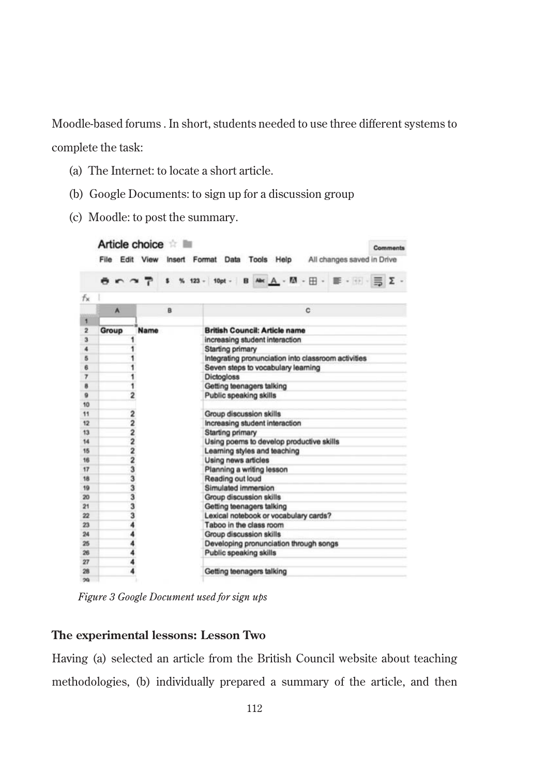Moodle-based forums . In short, students needed to use three different systems to complete the task:

- (a) The Internet: to locate a short article.
- (b) Google Documents: to sign up for a discussion group
- (c) Moodle: to post the summary.

|                         |       | Article choice          | <b>Comments</b><br>File Edit View Insert Format Data Tools Help All changes saved in Drive |
|-------------------------|-------|-------------------------|--------------------------------------------------------------------------------------------|
|                         |       |                         | → ↑ ↑ ↑ ↑ \$ % 123 - 10pt - B Ak A - M - H - W - H - W - H - H - H                         |
| fх                      |       |                         |                                                                                            |
|                         | A     | B                       | c                                                                                          |
| 1                       |       |                         |                                                                                            |
| $\overline{\mathbf{z}}$ | Group | Name                    | <b>British Council: Article name</b>                                                       |
| з                       |       |                         | increasing student interaction                                                             |
| 4                       |       |                         | Starting primary                                                                           |
| 5                       |       |                         | Integrating pronunciation into classroom activities                                        |
| 6                       |       |                         | Seven steps to vocabulary learning                                                         |
| 7                       |       |                         | <b>Dictogloss</b>                                                                          |
| 8                       |       |                         | Getting teenagers talking                                                                  |
| $\overline{9}$          |       | $\overline{2}$          | Public speaking skills                                                                     |
| 10                      |       |                         |                                                                                            |
| 11                      |       | $\overline{\mathbf{2}}$ | <b>Group discussion skills</b>                                                             |
| 12                      |       | 2                       | Increasing student interaction                                                             |
| 13                      |       | $\frac{2}{2}$           | <b>Starting primary</b>                                                                    |
| 14                      |       |                         | Using poems to develop productive skills                                                   |
| 15                      |       | $\frac{2}{2}$           | Learning styles and teaching                                                               |
| 16                      |       |                         | Using news articles                                                                        |
| 17                      |       | 3                       | Planning a writing lesson                                                                  |
| 18                      |       | 3                       | Reading out loud                                                                           |
| 19                      |       | 3                       | Simulated immersion                                                                        |
| 20                      |       | 3                       | <b>Group discussion skills</b>                                                             |
| 21                      |       | 3                       | Getting teenagers talking                                                                  |
| 22                      |       | 3                       | Lexical notebook or vocabulary cards?                                                      |
| 23                      |       |                         | Taboo in the class room                                                                    |
| 24                      |       |                         | <b>Group discussion skills</b>                                                             |
| 25                      |       |                         | Developing pronunciation through songs                                                     |
| 26                      |       |                         | Public speaking skills                                                                     |
| 27                      |       |                         |                                                                                            |
| 28                      |       |                         | Getting teenagers talking                                                                  |
| 56                      |       |                         |                                                                                            |

*Figure 3 Google Document used for sign ups*

### **The experimental lessons: Lesson Two**

Having (a) selected an article from the British Council website about teaching methodologies, (b) individually prepared a summary of the article, and then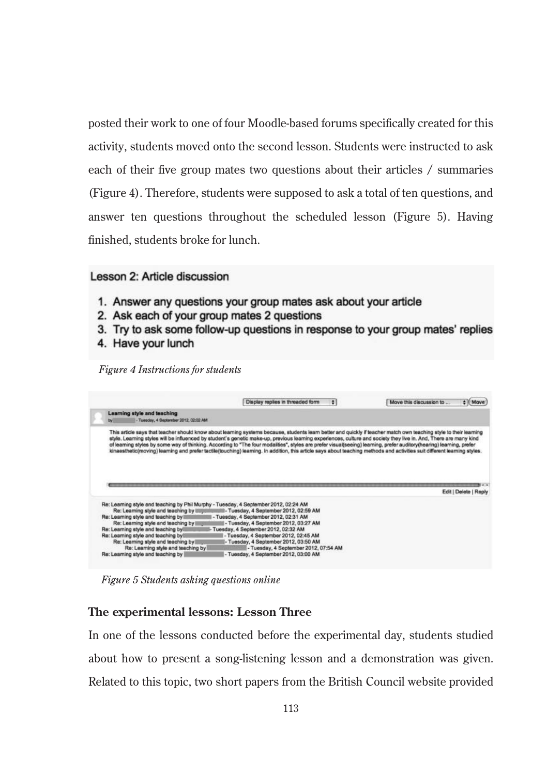posted their work to one of four Moodle-based forums specifically created for this activity, students moved onto the second lesson. Students were instructed to ask each of their five group mates two questions about their articles / summaries (Figure 4). Therefore, students were supposed to ask a total of ten questions, and answer ten questions throughout the scheduled lesson (Figure 5). Having finished, students broke for lunch.

### Lesson 2: Article discussion

- 1. Answer any questions your group mates ask about your article
- 2. Ask each of your group mates 2 questions
- 3. Try to ask some follow-up questions in response to your group mates' replies
- 4. Have your lunch

*Figure 4 Instructions for students*

|                                                                             | Display replies in threaded form<br>٠                                                                                                                                                                                                                                                                                                                                                                                                                                                                                                                                                                                                                                                        | Move this discussion to<br>$#$ Move |
|-----------------------------------------------------------------------------|----------------------------------------------------------------------------------------------------------------------------------------------------------------------------------------------------------------------------------------------------------------------------------------------------------------------------------------------------------------------------------------------------------------------------------------------------------------------------------------------------------------------------------------------------------------------------------------------------------------------------------------------------------------------------------------------|-------------------------------------|
| Learning style and teaching<br>- Tuesday, 4 September 2012, 02:02 AM<br>tw. |                                                                                                                                                                                                                                                                                                                                                                                                                                                                                                                                                                                                                                                                                              |                                     |
|                                                                             | This article says that teacher should know about learning systems because, students learn better and quickly if teacher match own teaching style to their learning<br>style. Learning styles will be influenced by student's genetic make-up, previous learning experiences, culture and society they live in. And, There are many kind<br>of learning styles by some way of thinking. According to "The four modalities", styles are prefer visual(seeing) learning, prefer auditory(hearing) learning, prefer<br>kinaesthetic(moving) learning and prefer tactile(touching) learning. In addition, this article says about teaching methods and activities suit different learning styles. |                                     |
|                                                                             |                                                                                                                                                                                                                                                                                                                                                                                                                                                                                                                                                                                                                                                                                              |                                     |
|                                                                             |                                                                                                                                                                                                                                                                                                                                                                                                                                                                                                                                                                                                                                                                                              | Edit   Delete   Reply               |

*Figure 5 Students asking questions online*

### **The experimental lessons: Lesson Three**

In one of the lessons conducted before the experimental day, students studied about how to present a song-listening lesson and a demonstration was given. Related to this topic, two short papers from the British Council website provided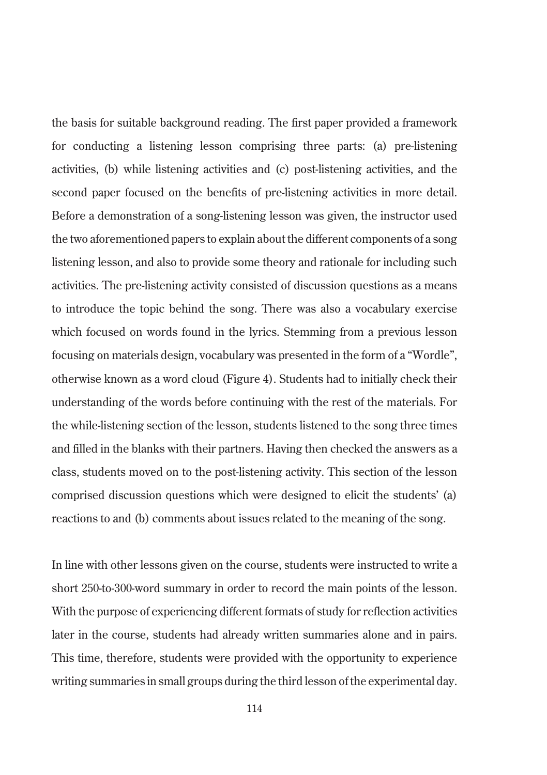the basis for suitable background reading. The first paper provided a framework for conducting a listening lesson comprising three parts: (a) pre-listening activities, (b) while listening activities and (c) post-listening activities, and the second paper focused on the benefits of pre-listening activities in more detail. Before a demonstration of a song-listening lesson was given, the instructor used the two aforementioned papers to explain about the different components of a song listening lesson, and also to provide some theory and rationale for including such activities. The pre-listening activity consisted of discussion questions as a means to introduce the topic behind the song. There was also a vocabulary exercise which focused on words found in the lyrics. Stemming from a previous lesson focusing on materials design, vocabulary was presented in the form of a "Wordle", otherwise known as a word cloud (Figure 4). Students had to initially check their understanding of the words before continuing with the rest of the materials. For the while-listening section of the lesson, students listened to the song three times and filled in the blanks with their partners. Having then checked the answers as a class, students moved on to the post-listening activity. This section of the lesson comprised discussion questions which were designed to elicit the students' (a) reactions to and (b) comments about issues related to the meaning of the song.

In line with other lessons given on the course, students were instructed to write a short 250-to-300-word summary in order to record the main points of the lesson. With the purpose of experiencing different formats of study for reflection activities later in the course, students had already written summaries alone and in pairs. This time, therefore, students were provided with the opportunity to experience writing summaries in small groups during the third lesson of the experimental day.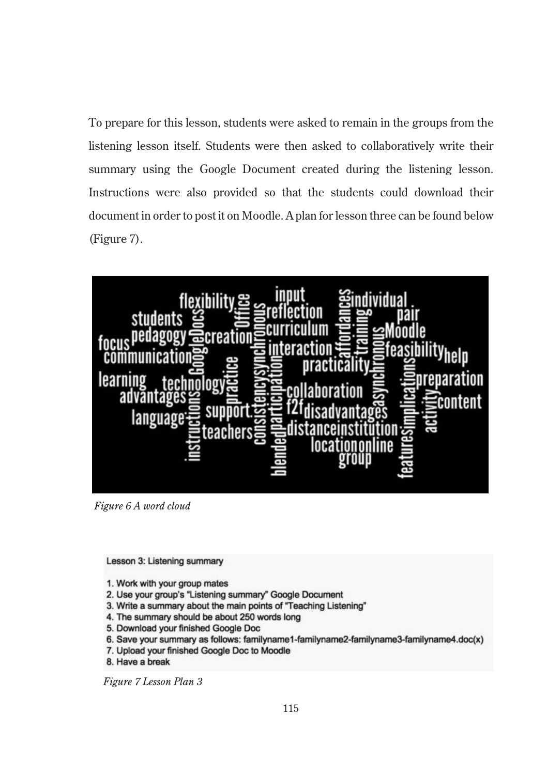To prepare for this lesson, students were asked to remain in the groups from the listening lesson itself. Students were then asked to collaboratively write their summary using the Google Document created during the listening lesson. Instructions were also provided so that the students could download their document in order to post it on Moodle. A plan for lesson three can be found below (Figure 7).



*Figure 6 A word cloud*

Lesson 3: Listening summary

- 1. Work with your group mates
- 2. Use your group's "Listening summary" Google Document
- 3. Write a summary about the main points of "Teaching Listening"
- 4. The summary should be about 250 words long
- 5. Download your finished Google Doc
- 6. Save your summary as follows: familyname1-familyname2-familyname3-familyname4.doc(x)
- 7. Upload your finished Google Doc to Moodle
- 8. Have a break

*Figure 7 Lesson Plan 3*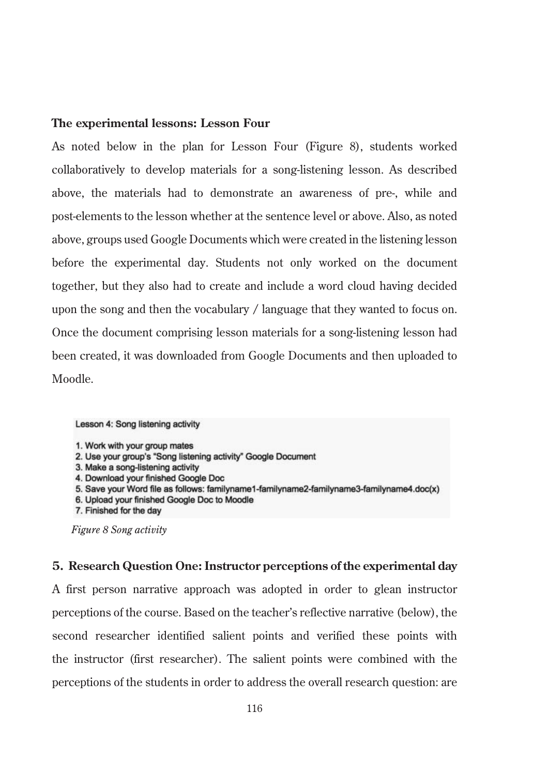### **The experimental lessons: Lesson Four**

As noted below in the plan for Lesson Four (Figure 8), students worked collaboratively to develop materials for a song-listening lesson. As described above, the materials had to demonstrate an awareness of pre-, while and post-elements to the lesson whether at the sentence level or above. Also, as noted above, groups used Google Documents which were created in the listening lesson before the experimental day. Students not only worked on the document together, but they also had to create and include a word cloud having decided upon the song and then the vocabulary / language that they wanted to focus on. Once the document comprising lesson materials for a song-listening lesson had been created, it was downloaded from Google Documents and then uploaded to Moodle.

#### Lesson 4: Song listening activity

- 2. Use your group's "Song listening activity" Google Document
- 3. Make a song-listening activity
- 4. Download your finished Google Doc
- 5. Save your Word file as follows: familyname1-familyname2-familyname3-familyname4.doc(x)
- 6. Upload your finished Google Doc to Moodle
- 7. Finished for the day

### **5. Research Question One: Instructor perceptions of the experimental day**

A first person narrative approach was adopted in order to glean instructor perceptions of the course. Based on the teacher's reflective narrative (below), the second researcher identified salient points and verified these points with the instructor (first researcher). The salient points were combined with the perceptions of the students in order to address the overall research question: are

<sup>1.</sup> Work with your group mates

*Figure 8 Song activity*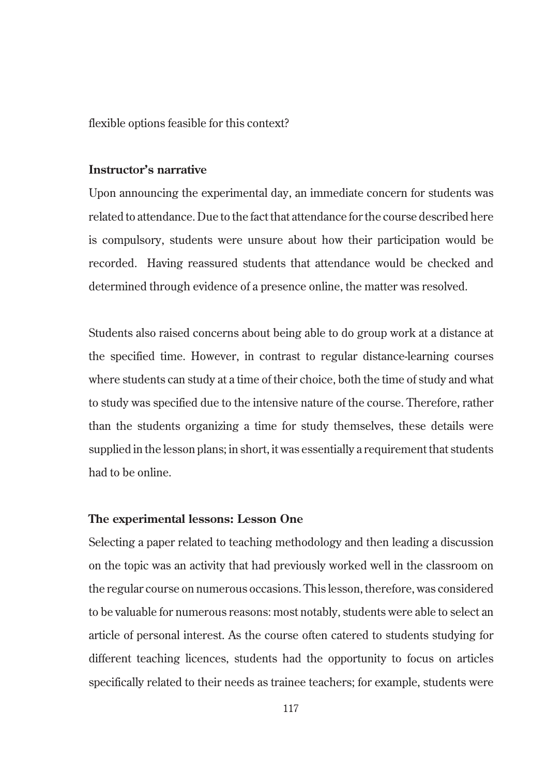flexible options feasible for this context?

### **Instructor's narrative**

Upon announcing the experimental day, an immediate concern for students was related to attendance. Due to the fact that attendance for the course described here is compulsory, students were unsure about how their participation would be recorded. Having reassured students that attendance would be checked and determined through evidence of a presence online, the matter was resolved.

Students also raised concerns about being able to do group work at a distance at the specified time. However, in contrast to regular distance-learning courses where students can study at a time of their choice, both the time of study and what to study was specified due to the intensive nature of the course. Therefore, rather than the students organizing a time for study themselves, these details were supplied in the lesson plans; in short, it was essentially a requirement that students had to be online.

### **The experimental lessons: Lesson One**

Selecting a paper related to teaching methodology and then leading a discussion on the topic was an activity that had previously worked well in the classroom on the regular course on numerous occasions. This lesson, therefore, was considered to be valuable for numerous reasons: most notably, students were able to select an article of personal interest. As the course often catered to students studying for different teaching licences, students had the opportunity to focus on articles specifically related to their needs as trainee teachers; for example, students were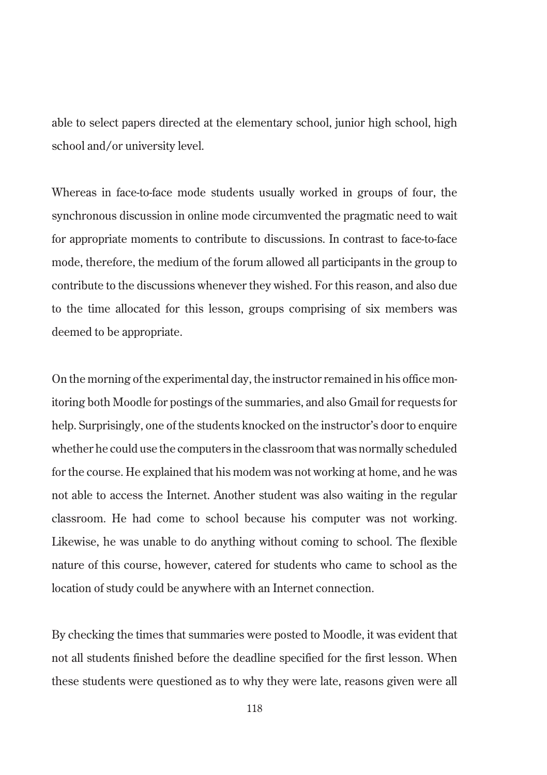able to select papers directed at the elementary school, junior high school, high school and/or university level.

Whereas in face-to-face mode students usually worked in groups of four, the synchronous discussion in online mode circumvented the pragmatic need to wait for appropriate moments to contribute to discussions. In contrast to face-to-face mode, therefore, the medium of the forum allowed all participants in the group to contribute to the discussions whenever they wished. For this reason, and also due to the time allocated for this lesson, groups comprising of six members was deemed to be appropriate.

On the morning of the experimental day, the instructor remained in his office monitoring both Moodle for postings of the summaries, and also Gmail for requests for help. Surprisingly, one of the students knocked on the instructor's door to enquire whether he could use the computers in the classroom that was normally scheduled for the course. He explained that his modem was not working at home, and he was not able to access the Internet. Another student was also waiting in the regular classroom. He had come to school because his computer was not working. Likewise, he was unable to do anything without coming to school. The flexible nature of this course, however, catered for students who came to school as the location of study could be anywhere with an Internet connection.

By checking the times that summaries were posted to Moodle, it was evident that not all students finished before the deadline specified for the first lesson. When these students were questioned as to why they were late, reasons given were all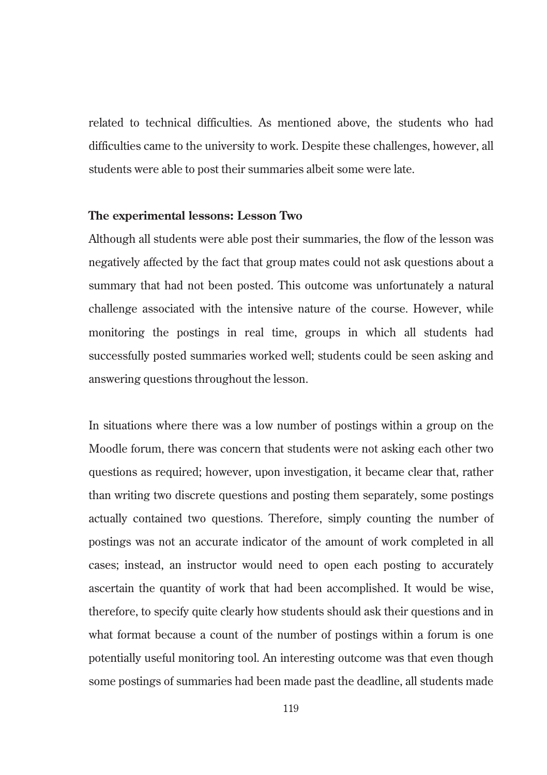related to technical difficulties. As mentioned above, the students who had difficulties came to the university to work. Despite these challenges, however, all students were able to post their summaries albeit some were late.

### **The experimental lessons: Lesson Two**

Although all students were able post their summaries, the flow of the lesson was negatively affected by the fact that group mates could not ask questions about a summary that had not been posted. This outcome was unfortunately a natural challenge associated with the intensive nature of the course. However, while monitoring the postings in real time, groups in which all students had successfully posted summaries worked well; students could be seen asking and answering questions throughout the lesson.

In situations where there was a low number of postings within a group on the Moodle forum, there was concern that students were not asking each other two questions as required; however, upon investigation, it became clear that, rather than writing two discrete questions and posting them separately, some postings actually contained two questions. Therefore, simply counting the number of postings was not an accurate indicator of the amount of work completed in all cases; instead, an instructor would need to open each posting to accurately ascertain the quantity of work that had been accomplished. It would be wise, therefore, to specify quite clearly how students should ask their questions and in what format because a count of the number of postings within a forum is one potentially useful monitoring tool. An interesting outcome was that even though some postings of summaries had been made past the deadline, all students made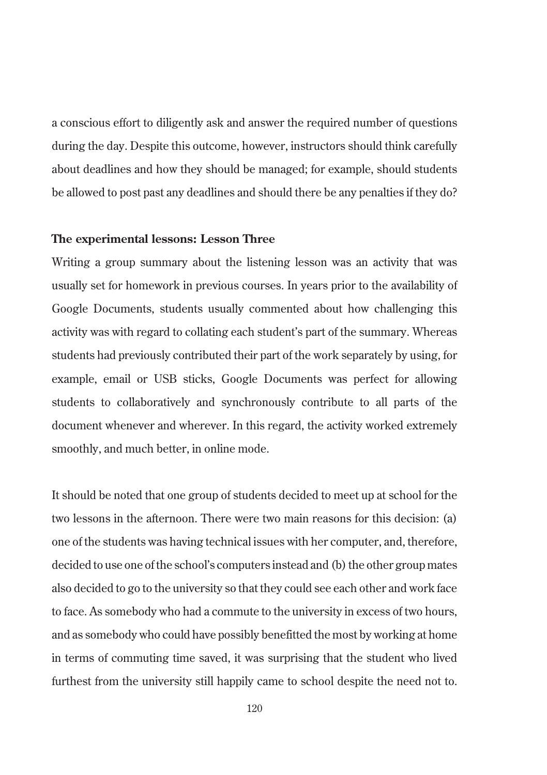a conscious effort to diligently ask and answer the required number of questions during the day. Despite this outcome, however, instructors should think carefully about deadlines and how they should be managed; for example, should students be allowed to post past any deadlines and should there be any penalties if they do?

### **The experimental lessons: Lesson Three**

Writing a group summary about the listening lesson was an activity that was usually set for homework in previous courses. In years prior to the availability of Google Documents, students usually commented about how challenging this activity was with regard to collating each student's part of the summary. Whereas students had previously contributed their part of the work separately by using, for example, email or USB sticks, Google Documents was perfect for allowing students to collaboratively and synchronously contribute to all parts of the document whenever and wherever. In this regard, the activity worked extremely smoothly, and much better, in online mode.

It should be noted that one group of students decided to meet up at school for the two lessons in the afternoon. There were two main reasons for this decision: (a) one of the students was having technical issues with her computer, and, therefore, decided to use one of the school's computers instead and (b) the other group mates also decided to go to the university so that they could see each other and work face to face. As somebody who had a commute to the university in excess of two hours, and as somebody who could have possibly benefitted the most by working at home in terms of commuting time saved, it was surprising that the student who lived furthest from the university still happily came to school despite the need not to.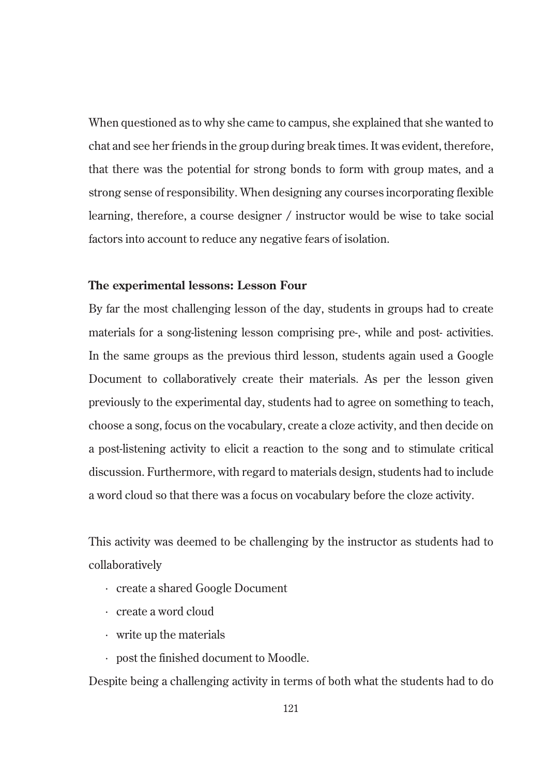When questioned as to why she came to campus, she explained that she wanted to chat and see her friends in the group during break times. It was evident, therefore, that there was the potential for strong bonds to form with group mates, and a strong sense of responsibility. When designing any courses incorporating flexible learning, therefore, a course designer / instructor would be wise to take social factors into account to reduce any negative fears of isolation.

### **The experimental lessons: Lesson Four**

By far the most challenging lesson of the day, students in groups had to create materials for a song-listening lesson comprising pre-, while and post- activities. In the same groups as the previous third lesson, students again used a Google Document to collaboratively create their materials. As per the lesson given previously to the experimental day, students had to agree on something to teach, choose a song, focus on the vocabulary, create a cloze activity, and then decide on a post-listening activity to elicit a reaction to the song and to stimulate critical discussion. Furthermore, with regard to materials design, students had to include a word cloud so that there was a focus on vocabulary before the cloze activity.

This activity was deemed to be challenging by the instructor as students had to collaboratively

- · create a shared Google Document
- · create a word cloud
- · write up the materials
- · post the finished document to Moodle.

Despite being a challenging activity in terms of both what the students had to do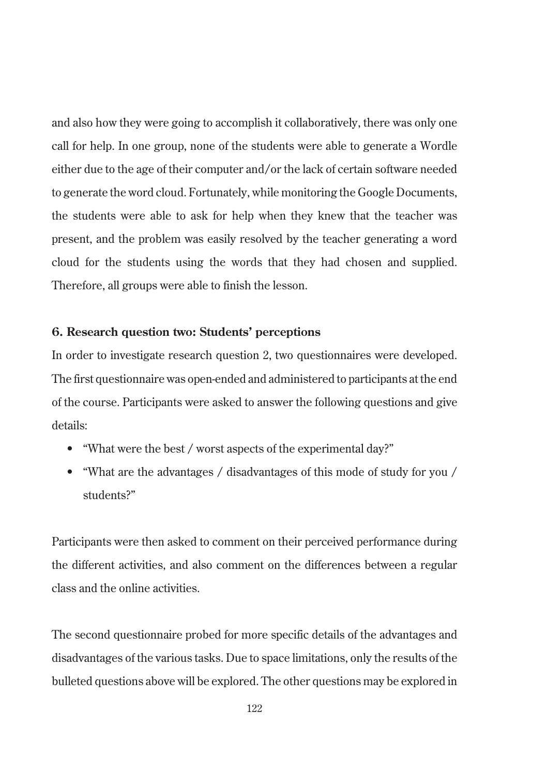and also how they were going to accomplish it collaboratively, there was only one call for help. In one group, none of the students were able to generate a Wordle either due to the age of their computer and/or the lack of certain software needed to generate the word cloud. Fortunately, while monitoring the Google Documents, the students were able to ask for help when they knew that the teacher was present, and the problem was easily resolved by the teacher generating a word cloud for the students using the words that they had chosen and supplied. Therefore, all groups were able to finish the lesson.

### **6. Research question two: Students' perceptions**

In order to investigate research question 2, two questionnaires were developed. The first questionnaire was open-ended and administered to participants at the end of the course. Participants were asked to answer the following questions and give details:

- "What were the best / worst aspects of the experimental day?"
- "What are the advantages / disadvantages of this mode of study for you / students?"

Participants were then asked to comment on their perceived performance during the different activities, and also comment on the differences between a regular class and the online activities.

The second questionnaire probed for more specific details of the advantages and disadvantages of the various tasks. Due to space limitations, only the results of the bulleted questions above will be explored. The other questions may be explored in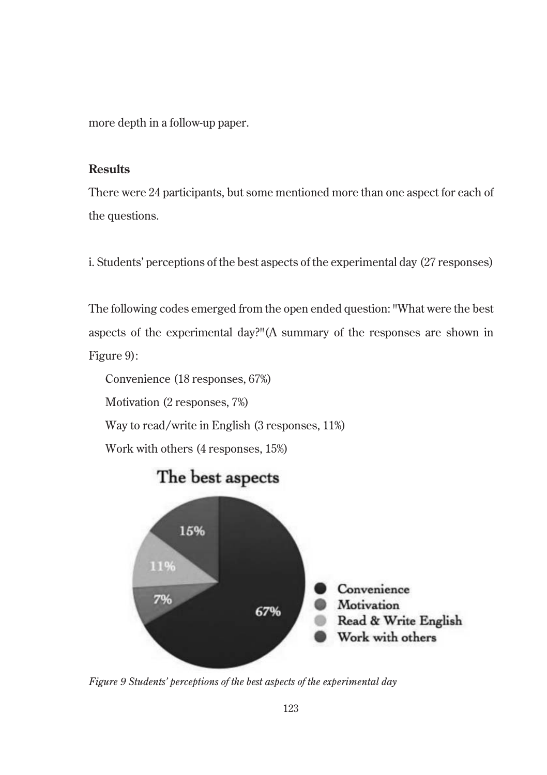more depth in a follow-up paper.

### **Results**

There were 24 participants, but some mentioned more than one aspect for each of the questions.

i. Students' perceptions of the best aspects of the experimental day (27 responses)

The following codes emerged from the open ended question: "What were the best aspects of the experimental day?"(A summary of the responses are shown in Figure 9):

Convenience (18 responses, 67%) Motivation (2 responses, 7%) Way to read/write in English (3 responses, 11%) Work with others (4 responses, 15%)



*Figure 9 Students' perceptions of the best aspects of the experimental day*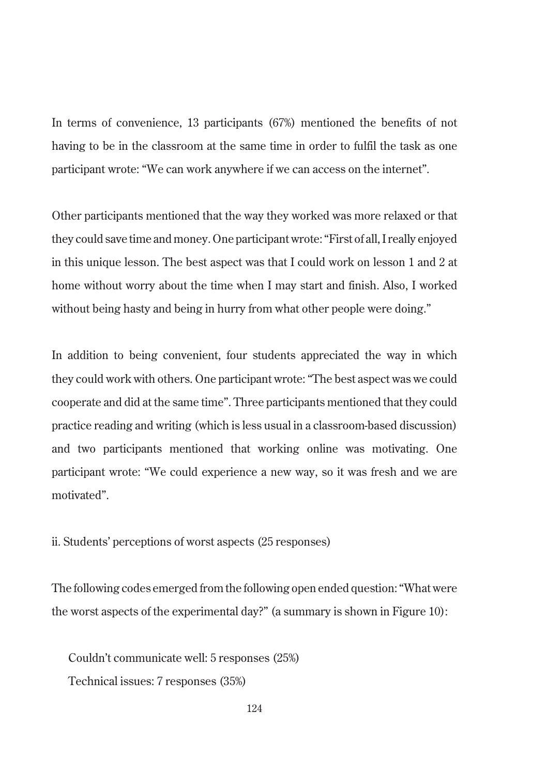In terms of convenience, 13 participants (67%) mentioned the benefits of not having to be in the classroom at the same time in order to fulfil the task as one participant wrote: "We can work anywhere if we can access on the internet".

Other participants mentioned that the way they worked was more relaxed or that they could save time and money. One participant wrote: "First of all, I really enjoyed in this unique lesson. The best aspect was that I could work on lesson 1 and 2 at home without worry about the time when I may start and finish. Also, I worked without being hasty and being in hurry from what other people were doing."

In addition to being convenient, four students appreciated the way in which they could work with others. One participant wrote: "The best aspect was we could cooperate and did at the same time". Three participants mentioned that they could practice reading and writing (which is less usual in a classroom-based discussion) and two participants mentioned that working online was motivating. One participant wrote: "We could experience a new way, so it was fresh and we are motivated".

ii. Students' perceptions of worst aspects (25 responses)

The following codes emerged from the following open ended question: "What were the worst aspects of the experimental day?" (a summary is shown in Figure 10):

Couldn't communicate well: 5 responses (25%) Technical issues: 7 responses (35%)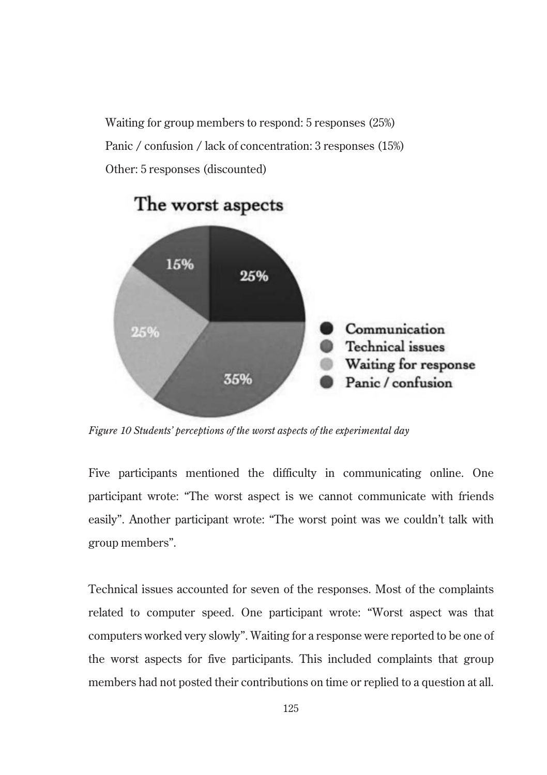Waiting for group members to respond: 5 responses (25%) Panic / confusion / lack of concentration: 3 responses (15%) Other: 5 responses (discounted)



## The worst aspects

*Figure 10 Students' perceptions of the worst aspects of the experimental day*

Five participants mentioned the difficulty in communicating online. One participant wrote: "The worst aspect is we cannot communicate with friends easily". Another participant wrote: "The worst point was we couldn't talk with group members".

Technical issues accounted for seven of the responses. Most of the complaints related to computer speed. One participant wrote: "Worst aspect was that computers worked very slowly". Waiting for a response were reported to be one of the worst aspects for five participants. This included complaints that group members had not posted their contributions on time or replied to a question at all.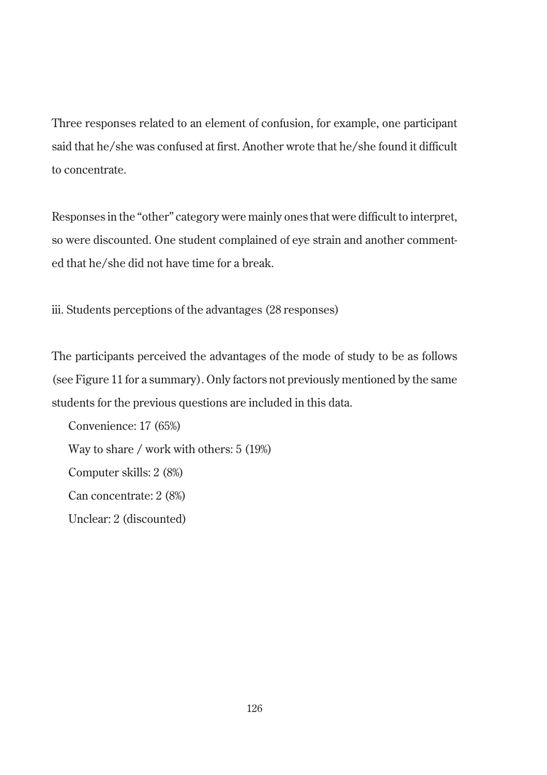Three responses related to an element of confusion, for example, one participant said that he/she was confused at first. Another wrote that he/she found it difficult to concentrate.

Responses in the "other" category were mainly ones that were difficult to interpret, so were discounted. One student complained of eye strain and another commented that he/she did not have time for a break.

iii. Students perceptions of the advantages (28 responses)

The participants perceived the advantages of the mode of study to be as follows (see Figure 11 for a summary). Only factors not previously mentioned by the same students for the previous questions are included in this data.

Convenience: 17 (65%) Way to share / work with others: 5 (19%) Computer skills: 2 (8%) Can concentrate: 2 (8%) Unclear: 2 (discounted)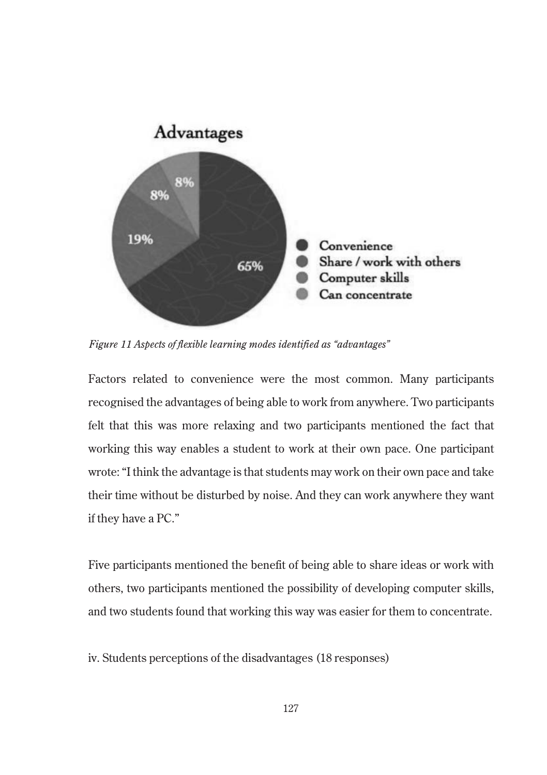

*Figure 11 Aspects of flexible learning modes identified as "advantages"*

Factors related to convenience were the most common. Many participants recognised the advantages of being able to work from anywhere. Two participants felt that this was more relaxing and two participants mentioned the fact that working this way enables a student to work at their own pace. One participant wrote: "I think the advantage is that students may work on their own pace and take their time without be disturbed by noise. And they can work anywhere they want if they have a PC."

Five participants mentioned the benefit of being able to share ideas or work with others, two participants mentioned the possibility of developing computer skills, and two students found that working this way was easier for them to concentrate.

iv. Students perceptions of the disadvantages (18 responses)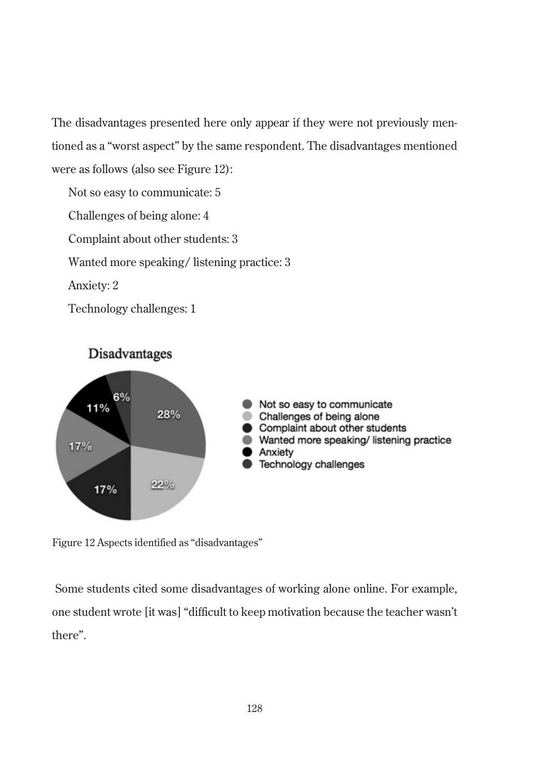The disadvantages presented here only appear if they were not previously mentioned as a "worst aspect" by the same respondent. The disadvantages mentioned were as follows (also see Figure 12):

- Not so easy to communicate: 5
- Challenges of being alone: 4
- Complaint about other students: 3
- Wanted more speaking/ listening practice: 3
- Anxiety: 2
- Technology challenges: 1



Figure 12 Aspects identified as "disadvantages"

Some students cited some disadvantages of working alone online. For example, one student wrote [it was] "difficult to keep motivation because the teacher wasn't there".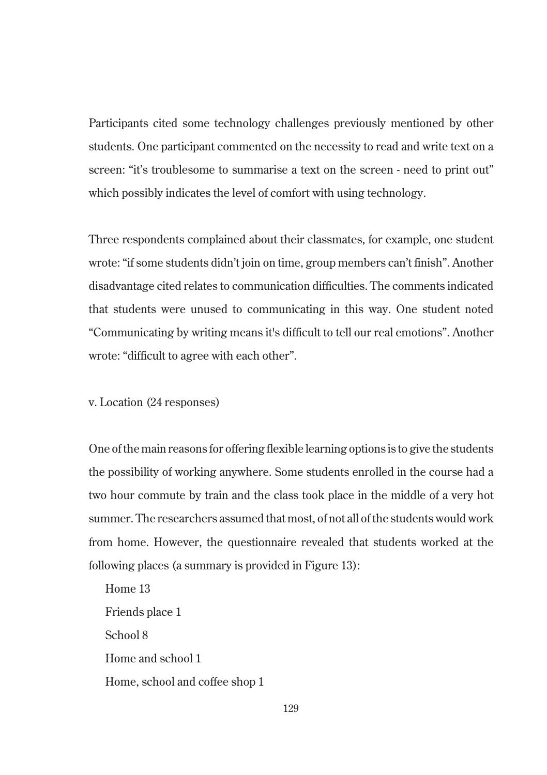Participants cited some technology challenges previously mentioned by other students. One participant commented on the necessity to read and write text on a screen: "it's troublesome to summarise a text on the screen - need to print out" which possibly indicates the level of comfort with using technology.

Three respondents complained about their classmates, for example, one student wrote: "if some students didn't join on time, group members can't finish". Another disadvantage cited relates to communication difficulties. The comments indicated that students were unused to communicating in this way. One student noted "Communicating by writing means it's difficult to tell our real emotions". Another wrote: "difficult to agree with each other".

### v. Location (24 responses)

One of the main reasons for offering flexible learning options is to give the students the possibility of working anywhere. Some students enrolled in the course had a two hour commute by train and the class took place in the middle of a very hot summer. The researchers assumed that most, of not all of the students would work from home. However, the questionnaire revealed that students worked at the following places (a summary is provided in Figure 13):

Home 13 Friends place 1 School 8 Home and school 1 Home, school and coffee shop 1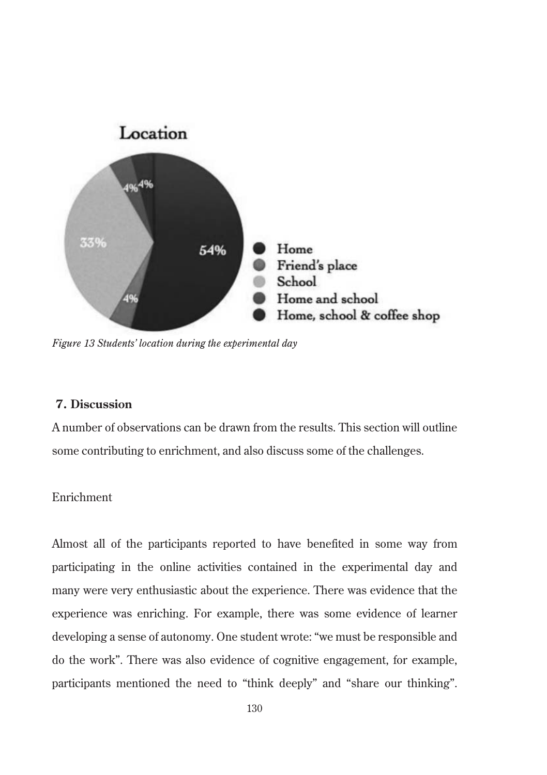

*Figure 13 Students' location during the experimental day*

### **7. Discussion**

A number of observations can be drawn from the results. This section will outline some contributing to enrichment, and also discuss some of the challenges.

### Enrichment

Almost all of the participants reported to have benefited in some way from participating in the online activities contained in the experimental day and many were very enthusiastic about the experience. There was evidence that the experience was enriching. For example, there was some evidence of learner developing a sense of autonomy. One student wrote: "we must be responsible and do the work". There was also evidence of cognitive engagement, for example, participants mentioned the need to "think deeply" and "share our thinking".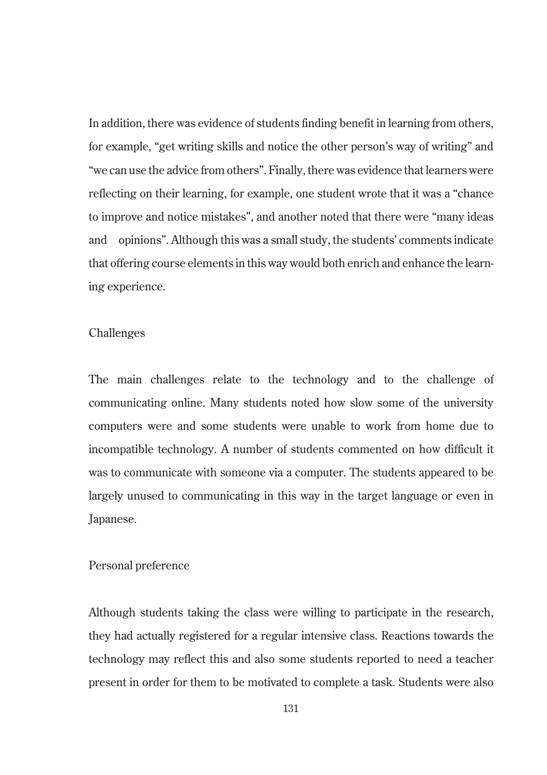In addition, there was evidence of students finding benefit in learning from others, for example, "get writing skills and notice the other person's way of writing" and "we can use the advice from others". Finally, there was evidence that learners were reflecting on their learning, for example, one student wrote that it was a "chance to improve and notice mistakes", and another noted that there were "many ideas and opinions". Although this was a small study, the students' comments indicate that offering course elements in this way would both enrich and enhance the learning experience.

### Challenges

The main challenges relate to the technology and to the challenge of communicating online. Many students noted how slow some of the university computers were and some students were unable to work from home due to incompatible technology. A number of students commented on how difficult it was to communicate with someone via a computer. The students appeared to be largely unused to communicating in this way in the target language or even in Japanese.

### Personal preference

Although students taking the class were willing to participate in the research, they had actually registered for a regular intensive class. Reactions towards the technology may reflect this and also some students reported to need a teacher present in order for them to be motivated to complete a task. Students were also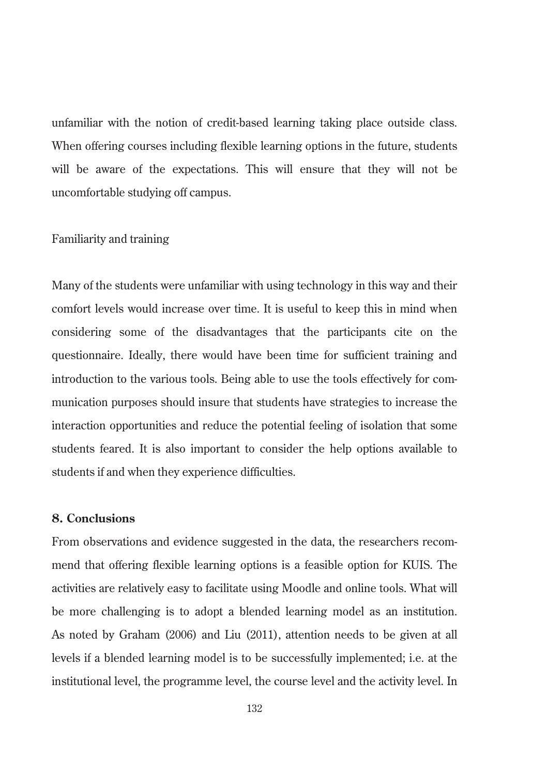unfamiliar with the notion of credit-based learning taking place outside class. When offering courses including flexible learning options in the future, students will be aware of the expectations. This will ensure that they will not be uncomfortable studying off campus.

### Familiarity and training

Many of the students were unfamiliar with using technology in this way and their comfort levels would increase over time. It is useful to keep this in mind when considering some of the disadvantages that the participants cite on the questionnaire. Ideally, there would have been time for sufficient training and introduction to the various tools. Being able to use the tools effectively for communication purposes should insure that students have strategies to increase the interaction opportunities and reduce the potential feeling of isolation that some students feared. It is also important to consider the help options available to students if and when they experience difficulties.

### **8. Conclusions**

From observations and evidence suggested in the data, the researchers recommend that offering flexible learning options is a feasible option for KUIS. The activities are relatively easy to facilitate using Moodle and online tools. What will be more challenging is to adopt a blended learning model as an institution. As noted by Graham (2006) and Liu (2011), attention needs to be given at all levels if a blended learning model is to be successfully implemented; i.e. at the institutional level, the programme level, the course level and the activity level. In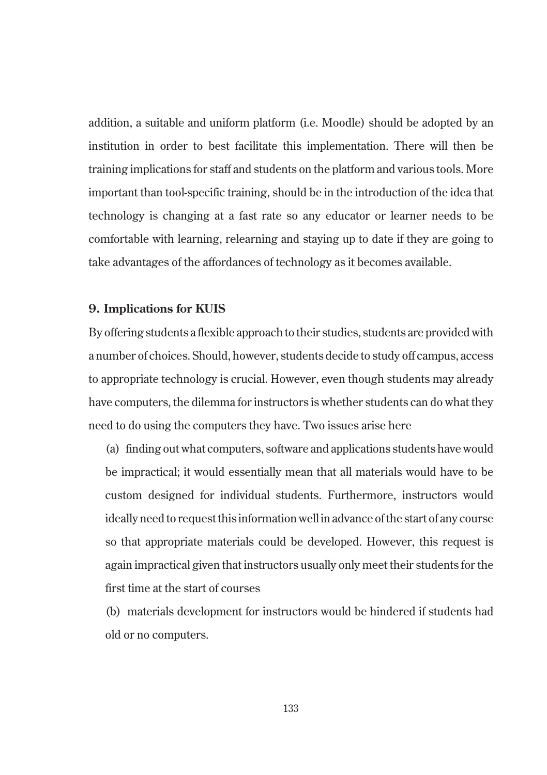addition, a suitable and uniform platform (i.e. Moodle) should be adopted by an institution in order to best facilitate this implementation. There will then be training implications for staff and students on the platform and various tools. More important than tool-specific training, should be in the introduction of the idea that technology is changing at a fast rate so any educator or learner needs to be comfortable with learning, relearning and staying up to date if they are going to take advantages of the affordances of technology as it becomes available.

### **9. Implications for KUIS**

By offering students a flexible approach to their studies, students are provided with a number of choices. Should, however, students decide to study off campus, access to appropriate technology is crucial. However, even though students may already have computers, the dilemma for instructors is whether students can do what they need to do using the computers they have. Two issues arise here

(a) finding out what computers, software and applications students have would be impractical; it would essentially mean that all materials would have to be custom designed for individual students. Furthermore, instructors would ideally need to request this information well in advance of the start of any course so that appropriate materials could be developed. However, this request is again impractical given that instructors usually only meet their students for the first time at the start of courses

(b) materials development for instructors would be hindered if students had old or no computers.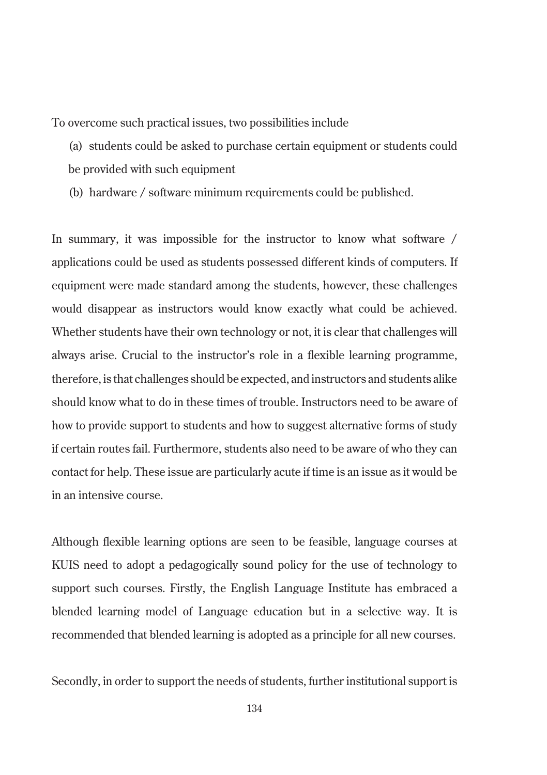To overcome such practical issues, two possibilities include

(a) students could be asked to purchase certain equipment or students could be provided with such equipment

(b) hardware / software minimum requirements could be published.

In summary, it was impossible for the instructor to know what software / applications could be used as students possessed different kinds of computers. If equipment were made standard among the students, however, these challenges would disappear as instructors would know exactly what could be achieved. Whether students have their own technology or not, it is clear that challenges will always arise. Crucial to the instructor's role in a flexible learning programme, therefore, is that challenges should be expected, and instructors and students alike should know what to do in these times of trouble. Instructors need to be aware of how to provide support to students and how to suggest alternative forms of study if certain routes fail. Furthermore, students also need to be aware of who they can contact for help. These issue are particularly acute if time is an issue as it would be in an intensive course.

Although flexible learning options are seen to be feasible, language courses at KUIS need to adopt a pedagogically sound policy for the use of technology to support such courses. Firstly, the English Language Institute has embraced a blended learning model of Language education but in a selective way. It is recommended that blended learning is adopted as a principle for all new courses.

Secondly, in order to support the needs of students, further institutional support is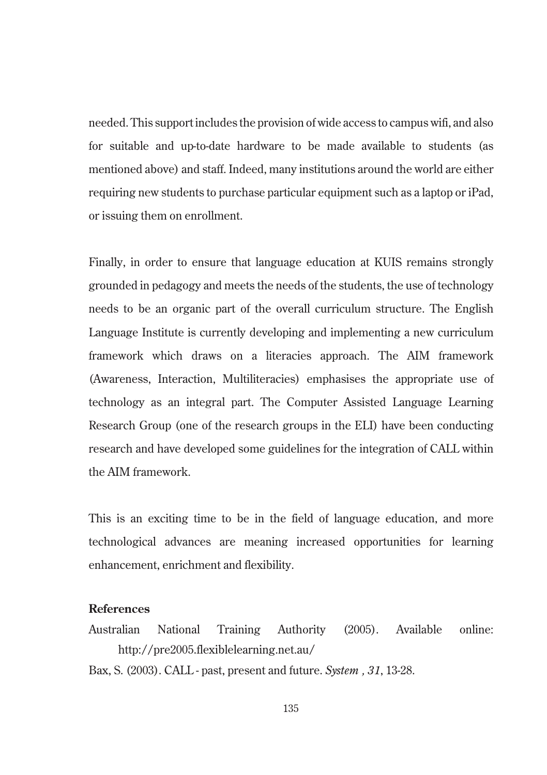needed. This support includes the provision of wide access to campus wifi, and also for suitable and up-to-date hardware to be made available to students (as mentioned above) and staff. Indeed, many institutions around the world are either requiring new students to purchase particular equipment such as a laptop or iPad, or issuing them on enrollment.

Finally, in order to ensure that language education at KUIS remains strongly grounded in pedagogy and meets the needs of the students, the use of technology needs to be an organic part of the overall curriculum structure. The English Language Institute is currently developing and implementing a new curriculum framework which draws on a literacies approach. The AIM framework (Awareness, Interaction, Multiliteracies) emphasises the appropriate use of technology as an integral part. The Computer Assisted Language Learning Research Group (one of the research groups in the ELI) have been conducting research and have developed some guidelines for the integration of CALL within the AIM framework.

This is an exciting time to be in the field of language education, and more technological advances are meaning increased opportunities for learning enhancement, enrichment and flexibility.

### **References**

- Australian National Training Authority (2005). Available online: http://pre2005.flexiblelearning.net.au/
- Bax, S. (2003). CALL past, present and future. *System , 31*, 13-28.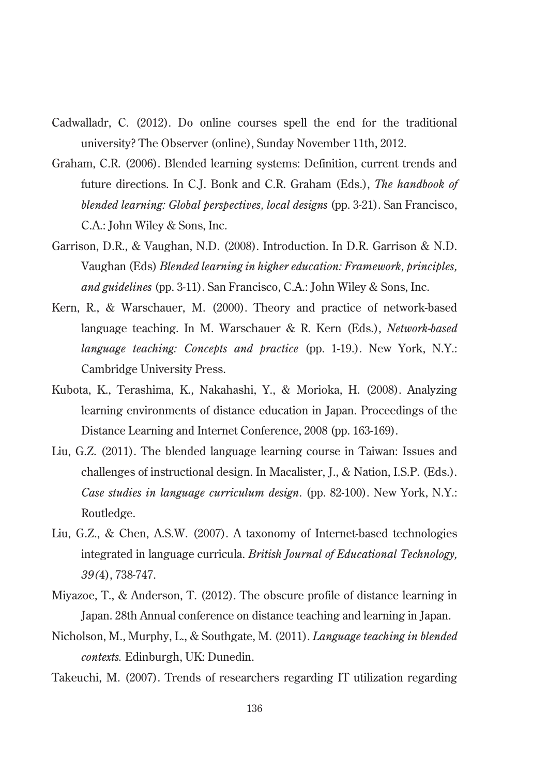- Cadwalladr, C. (2012). Do online courses spell the end for the traditional university? The Observer (online), Sunday November 11th, 2012.
- Graham, C.R. (2006). Blended learning systems: Definition, current trends and future directions. In C.J. Bonk and C.R. Graham (Eds.), *The handbook of blended learning: Global perspectives, local designs* (pp. 3-21). San Francisco, C.A.: John Wiley & Sons, Inc.
- Garrison, D.R., & Vaughan, N.D. (2008). Introduction. In D.R. Garrison & N.D. Vaughan (Eds) *Blended learning in higher education: Framework, principles, and guidelines* (pp. 3-11). San Francisco, C.A.: John Wiley & Sons, Inc.
- Kern, R., & Warschauer, M. (2000). Theory and practice of network-based language teaching. In M. Warschauer & R. Kern (Eds.), *Network-based language teaching: Concepts and practice* (pp. 1-19.). New York, N.Y.: Cambridge University Press.
- Kubota, K., Terashima, K., Nakahashi, Y., & Morioka, H. (2008). Analyzing learning environments of distance education in Japan. Proceedings of the Distance Learning and Internet Conference, 2008 (pp. 163-169).
- Liu, G.Z. (2011). The blended language learning course in Taiwan: Issues and challenges of instructional design. In Macalister, J., & Nation, I.S.P. (Eds.). *Case studies in language curriculum design.* (pp. 82-100). New York, N.Y.: Routledge.
- Liu, G.Z., & Chen, A.S.W. (2007). A taxonomy of Internet-based technologies integrated in language curricula. *British Journal of Educational Technology, 39(*4), 738-747.
- Miyazoe, T., & Anderson, T. (2012). The obscure profile of distance learning in Japan. 28th Annual conference on distance teaching and learning in Japan.
- Nicholson, M., Murphy, L., & Southgate, M. (2011). *Language teaching in blended contexts.* Edinburgh, UK: Dunedin.
- Takeuchi, M. (2007). Trends of researchers regarding IT utilization regarding